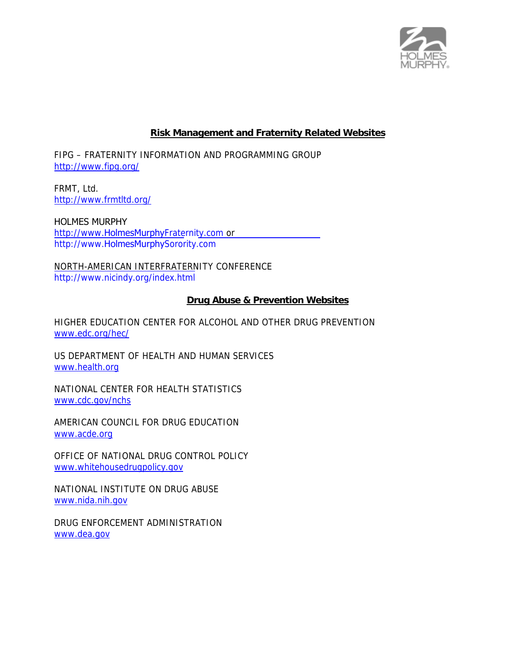

### **Risk Management and Fraternity Related Websites**

FIPG – FRATERNITY INFORMATION AND PROGRAMMING GROUP http://www.fipg.org/

FRMT, Ltd. http://www.frmtltd.org/

HOLMES MURPHY http://www.HolmesMurphyFraternity.com or http://www.HolmesMurphySorority.com

NORTH-AMERICAN INTERFRATERNITY CONFERENCE http://www.nicindy.org/index.html

#### **Drug Abuse & Prevention Websites**

HIGHER EDUCATION CENTER FOR ALCOHOL AND OTHER DRUG PREVENTION www.edc.org/hec/

US DEPARTMENT OF HEALTH AND HUMAN SERVICES www.health.org

NATIONAL CENTER FOR HEALTH STATISTICS www.cdc.gov/nchs

AMERICAN COUNCIL FOR DRUG EDUCATION www.acde.org

OFFICE OF NATIONAL DRUG CONTROL POLICY www.whitehousedrugpolicy.gov

NATIONAL INSTITUTE ON DRUG ABUSE www.nida.nih.gov

DRUG ENFORCEMENT ADMINISTRATION www.dea.gov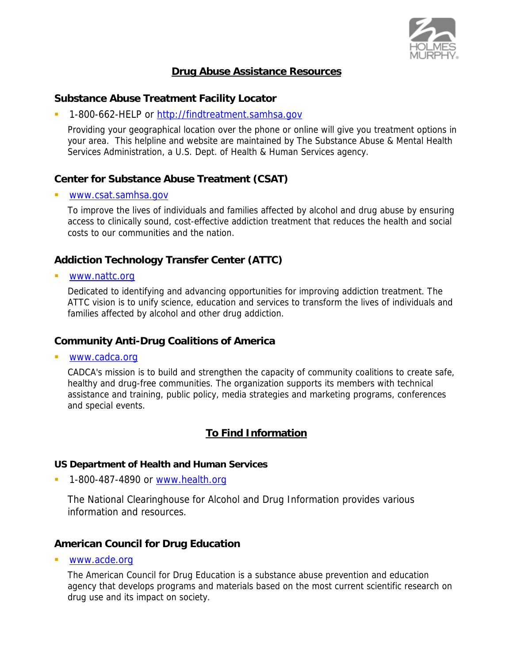

# **Drug Abuse Assistance Resources**

### **Substance Abuse Treatment Facility Locator**

1-800-662-HELP or http://findtreatment.samhsa.gov

Providing your geographical location over the phone or online will give you treatment options in your area. This helpline and website are maintained by The Substance Abuse & Mental Health Services Administration, a U.S. Dept. of Health & Human Services agency.

# **Center for Substance Abuse Treatment (CSAT)**

www.csat.samhsa.gov

To improve the lives of individuals and families affected by alcohol and drug abuse by ensuring access to clinically sound, cost-effective addiction treatment that reduces the health and social costs to our communities and the nation.

# **Addiction Technology Transfer Center (ATTC)**

www.nattc.org

Dedicated to identifying and advancing opportunities for improving addiction treatment. The ATTC vision is to unify science, education and services to transform the lives of individuals and families affected by alcohol and other drug addiction.

## **Community Anti-Drug Coalitions of America**

www.cadca.org

CADCA's mission is to build and strengthen the capacity of community coalitions to create safe, healthy and drug-free communities. The organization supports its members with technical assistance and training, public policy, media strategies and marketing programs, conferences and special events.

# **To Find Information**

#### **US Department of Health and Human Services**

1-800-487-4890 or www.health.org

 The National Clearinghouse for Alcohol and Drug Information provides various information and resources.

## **American Council for Drug Education**

www.acde.org

The American Council for Drug Education is a substance abuse prevention and education agency that develops programs and materials based on the most current scientific research on drug use and its impact on society.